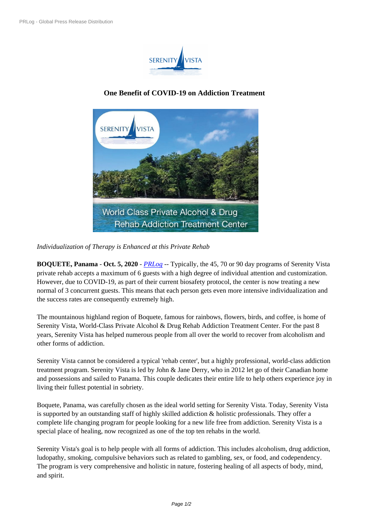

## **One Benefit [of COVID-19 on Add](https://biz.prlog.org/serenityvista/)iction Treatment**



*Individualization of [Therapy is Enhanced at this Private Rehab](https://www.prlog.org/12841235-serenity-vista-private-addiction-treatment.jpg)*

**BOQUETE, Panama** - **Oct. 5, 2020** - *PRLog* -- Typically, the 45, 70 or 90 day programs of Serenity Vista private rehab accepts a maximum of 6 guests with a high degree of individual attention and customization. However, due to COVID-19, as part of their current biosafety protocol, the center is now treating a new normal of 3 concurrent guests. This m[eans tha](https://www.prlog.org)t each person gets even more intensive individualization and the success rates are consequently extremely high.

The mountainous highland region of Boquete, famous for rainbows, flowers, birds, and coffee, is home of Serenity Vista, World-Class Private Alcohol & Drug Rehab Addiction Treatment Center. For the past 8 years, Serenity Vista has helped numerous people from all over the world to recover from alcoholism and other forms of addiction.

Serenity Vista cannot be considered a typical 'rehab center', but a highly professional, world-class addiction treatment program. Serenity Vista is led by John & Jane Derry, who in 2012 let go of their Canadian home and possessions and sailed to Panama. This couple dedicates their entire life to help others experience joy in living their fullest potential in sobriety.

Boquete, Panama, was carefully chosen as the ideal world setting for Serenity Vista. Today, Serenity Vista is supported by an outstanding staff of highly skilled addiction & holistic professionals. They offer a complete life changing program for people looking for a new life free from addiction. Serenity Vista is a special place of healing, now recognized as one of the top ten rehabs in the world.

Serenity Vista's goal is to help people with all forms of addiction. This includes alcoholism, drug addiction, ludopathy, smoking, compulsive behaviors such as related to gambling, sex, or food, and codependency. The program is very comprehensive and holistic in nature, fostering healing of all aspects of body, mind, and spirit.